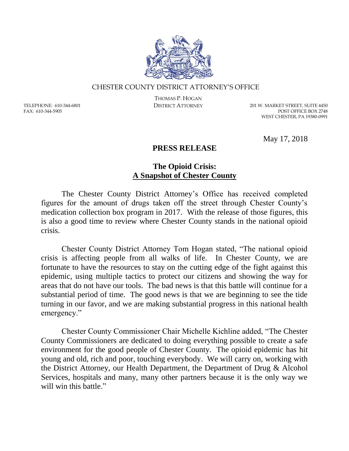

#### CHESTER COUNTY DISTRICT ATTORNEY'S OFFICE

TELEPHONE: 610-344-6801 FAX: 610-344-5905

THOMAS P. HOGAN

DISTRICT ATTORNEY 201 W. MARKET STREET, SUITE 4450 POST OFFICE BOX 2748 WEST CHESTER, PA 19380-0991

May 17, 2018

#### **PRESS RELEASE**

### **The Opioid Crisis: A Snapshot of Chester County**

The Chester County District Attorney's Office has received completed figures for the amount of drugs taken off the street through Chester County's medication collection box program in 2017. With the release of those figures, this is also a good time to review where Chester County stands in the national opioid crisis.

Chester County District Attorney Tom Hogan stated, "The national opioid crisis is affecting people from all walks of life. In Chester County, we are fortunate to have the resources to stay on the cutting edge of the fight against this epidemic, using multiple tactics to protect our citizens and showing the way for areas that do not have our tools. The bad news is that this battle will continue for a substantial period of time. The good news is that we are beginning to see the tide turning in our favor, and we are making substantial progress in this national health emergency."

Chester County Commissioner Chair Michelle Kichline added, "The Chester County Commissioners are dedicated to doing everything possible to create a safe environment for the good people of Chester County. The opioid epidemic has hit young and old, rich and poor, touching everybody. We will carry on, working with the District Attorney, our Health Department, the Department of Drug & Alcohol Services, hospitals and many, many other partners because it is the only way we will win this battle."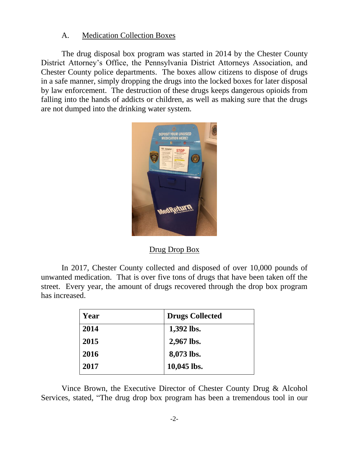# A. Medication Collection Boxes

The drug disposal box program was started in 2014 by the Chester County District Attorney's Office, the Pennsylvania District Attorneys Association, and Chester County police departments. The boxes allow citizens to dispose of drugs in a safe manner, simply dropping the drugs into the locked boxes for later disposal by law enforcement. The destruction of these drugs keeps dangerous opioids from falling into the hands of addicts or children, as well as making sure that the drugs are not dumped into the drinking water system.



Drug Drop Box

In 2017, Chester County collected and disposed of over 10,000 pounds of unwanted medication. That is over five tons of drugs that have been taken off the street. Every year, the amount of drugs recovered through the drop box program has increased.

| Year | <b>Drugs Collected</b> |
|------|------------------------|
| 2014 | 1,392 lbs.             |
| 2015 | 2,967 lbs.             |
| 2016 | 8,073 lbs.             |
| 2017 | 10,045 lbs.            |

Vince Brown, the Executive Director of Chester County Drug & Alcohol Services, stated, "The drug drop box program has been a tremendous tool in our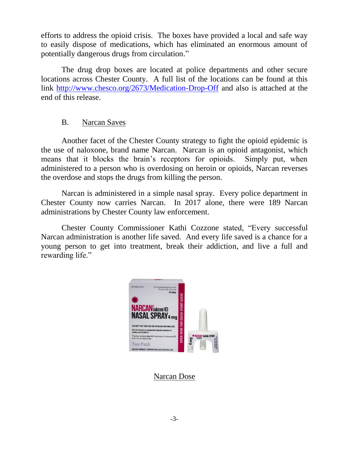efforts to address the opioid crisis. The boxes have provided a local and safe way to easily dispose of medications, which has eliminated an enormous amount of potentially dangerous drugs from circulation."

The drug drop boxes are located at police departments and other secure locations across Chester County. A full list of the locations can be found at this link<http://www.chesco.org/2673/Medication-Drop-Off> and also is attached at the end of this release.

## B. Narcan Saves

Another facet of the Chester County strategy to fight the opioid epidemic is the use of naloxone, brand name Narcan. Narcan is an opioid antagonist, which means that it blocks the brain's receptors for opioids. Simply put, when administered to a person who is overdosing on heroin or opioids, Narcan reverses the overdose and stops the drugs from killing the person.

Narcan is administered in a simple nasal spray. Every police department in Chester County now carries Narcan. In 2017 alone, there were 189 Narcan administrations by Chester County law enforcement.

Chester County Commissioner Kathi Cozzone stated, "Every successful Narcan administration is another life saved. And every life saved is a chance for a young person to get into treatment, break their addiction, and live a full and rewarding life."



Narcan Dose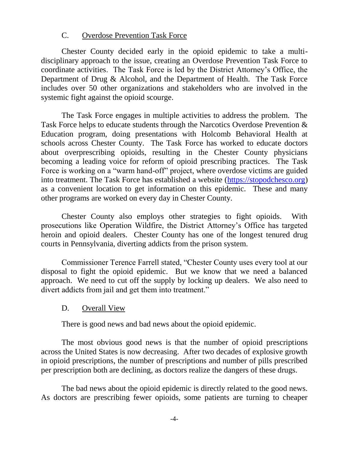## C. Overdose Prevention Task Force

Chester County decided early in the opioid epidemic to take a multidisciplinary approach to the issue, creating an Overdose Prevention Task Force to coordinate activities. The Task Force is led by the District Attorney's Office, the Department of Drug & Alcohol, and the Department of Health. The Task Force includes over 50 other organizations and stakeholders who are involved in the systemic fight against the opioid scourge.

The Task Force engages in multiple activities to address the problem. The Task Force helps to educate students through the Narcotics Overdose Prevention & Education program, doing presentations with Holcomb Behavioral Health at schools across Chester County. The Task Force has worked to educate doctors about overprescribing opioids, resulting in the Chester County physicians becoming a leading voice for reform of opioid prescribing practices. The Task Force is working on a "warm hand-off" project, where overdose victims are guided into treatment. The Task Force has established a website [\(https://stopodchesco.org\)](https://stopodchesco.org/) as a convenient location to get information on this epidemic. These and many other programs are worked on every day in Chester County.

Chester County also employs other strategies to fight opioids. With prosecutions like Operation Wildfire, the District Attorney's Office has targeted heroin and opioid dealers. Chester County has one of the longest tenured drug courts in Pennsylvania, diverting addicts from the prison system.

Commissioner Terence Farrell stated, "Chester County uses every tool at our disposal to fight the opioid epidemic. But we know that we need a balanced approach. We need to cut off the supply by locking up dealers. We also need to divert addicts from jail and get them into treatment."

## D. Overall View

There is good news and bad news about the opioid epidemic.

The most obvious good news is that the number of opioid prescriptions across the United States is now decreasing. After two decades of explosive growth in opioid prescriptions, the number of prescriptions and number of pills prescribed per prescription both are declining, as doctors realize the dangers of these drugs.

The bad news about the opioid epidemic is directly related to the good news. As doctors are prescribing fewer opioids, some patients are turning to cheaper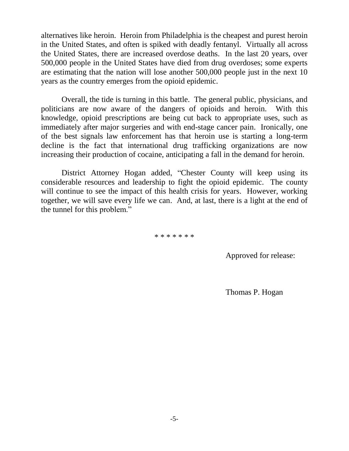alternatives like heroin. Heroin from Philadelphia is the cheapest and purest heroin in the United States, and often is spiked with deadly fentanyl. Virtually all across the United States, there are increased overdose deaths. In the last 20 years, over 500,000 people in the United States have died from drug overdoses; some experts are estimating that the nation will lose another 500,000 people just in the next 10 years as the country emerges from the opioid epidemic.

Overall, the tide is turning in this battle. The general public, physicians, and politicians are now aware of the dangers of opioids and heroin. With this knowledge, opioid prescriptions are being cut back to appropriate uses, such as immediately after major surgeries and with end-stage cancer pain. Ironically, one of the best signals law enforcement has that heroin use is starting a long-term decline is the fact that international drug trafficking organizations are now increasing their production of cocaine, anticipating a fall in the demand for heroin.

District Attorney Hogan added, "Chester County will keep using its considerable resources and leadership to fight the opioid epidemic. The county will continue to see the impact of this health crisis for years. However, working together, we will save every life we can. And, at last, there is a light at the end of the tunnel for this problem."

\* \* \* \* \* \* \*

Approved for release:

Thomas P. Hogan